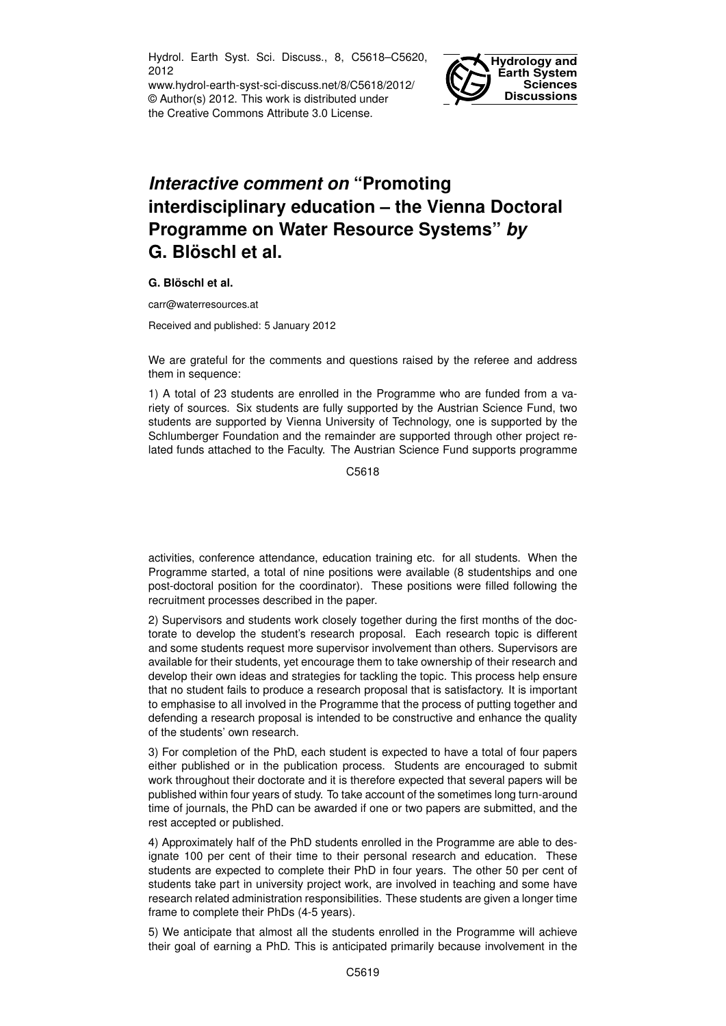Hydrol. Earth Syst. Sci. Discuss., 8, C5618–C5620, 2012

www.hydrol-earth-syst-sci-discuss.net/8/C5618/2012/ © Author(s) 2012. This work is distributed under the Creative Commons Attribute 3.0 License.



## *Interactive comment on* **"Promoting interdisciplinary education – the Vienna Doctoral Programme on Water Resource Systems"** *by* **G. Blöschl et al.**

## **G. Blöschl et al.**

carr@waterresources.at

Received and published: 5 January 2012

We are grateful for the comments and questions raised by the referee and address them in sequence:

1) A total of 23 students are enrolled in the Programme who are funded from a variety of sources. Six students are fully supported by the Austrian Science Fund, two students are supported by Vienna University of Technology, one is supported by the Schlumberger Foundation and the remainder are supported through other project related funds attached to the Faculty. The Austrian Science Fund supports programme

C5618

activities, conference attendance, education training etc. for all students. When the Programme started, a total of nine positions were available (8 studentships and one post-doctoral position for the coordinator). These positions were filled following the recruitment processes described in the paper.

2) Supervisors and students work closely together during the first months of the doctorate to develop the student's research proposal. Each research topic is different and some students request more supervisor involvement than others. Supervisors are available for their students, yet encourage them to take ownership of their research and develop their own ideas and strategies for tackling the topic. This process help ensure that no student fails to produce a research proposal that is satisfactory. It is important to emphasise to all involved in the Programme that the process of putting together and defending a research proposal is intended to be constructive and enhance the quality of the students' own research.

3) For completion of the PhD, each student is expected to have a total of four papers either published or in the publication process. Students are encouraged to submit work throughout their doctorate and it is therefore expected that several papers will be published within four years of study. To take account of the sometimes long turn-around time of journals, the PhD can be awarded if one or two papers are submitted, and the rest accepted or published.

4) Approximately half of the PhD students enrolled in the Programme are able to designate 100 per cent of their time to their personal research and education. These students are expected to complete their PhD in four years. The other 50 per cent of students take part in university project work, are involved in teaching and some have research related administration responsibilities. These students are given a longer time frame to complete their PhDs (4-5 years).

5) We anticipate that almost all the students enrolled in the Programme will achieve their goal of earning a PhD. This is anticipated primarily because involvement in the